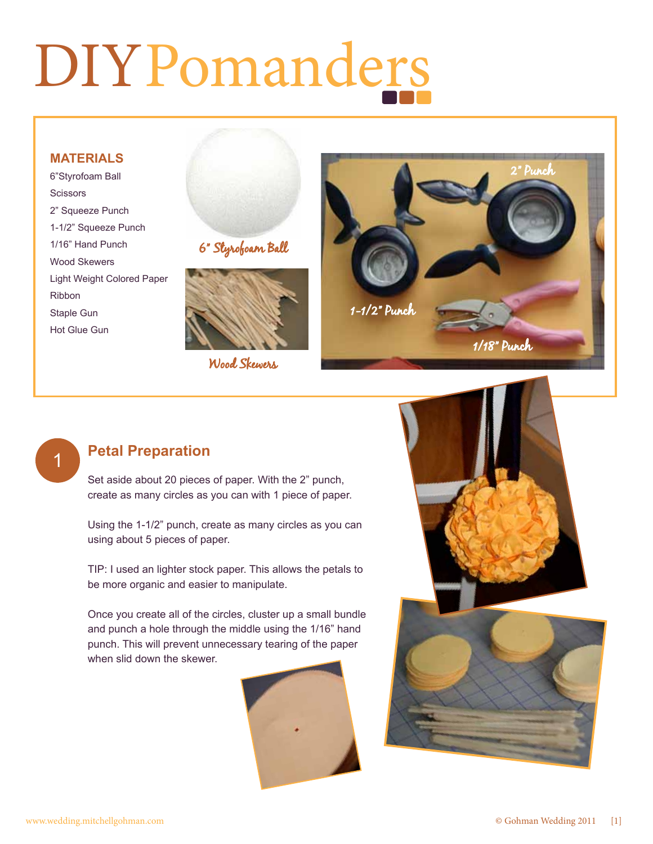# DIYPomanders

#### **MATERIALS**

6"Styrofoam Ball **Scissors** 2" Squeeze Punch 1-1/2" Squeeze Punch 1/16" Hand Punch Wood Skewers Light Weight Colored Paper Ribbon Staple Gun Hot Glue Gun





Wood Skewers



### 1

#### **Petal Preparation**

Set aside about 20 pieces of paper. With the 2" punch, create as many circles as you can with 1 piece of paper.

Using the 1-1/2" punch, create as many circles as you can using about 5 pieces of paper.

TIP: I used an lighter stock paper. This allows the petals to be more organic and easier to manipulate.

Once you create all of the circles, cluster up a small bundle and punch a hole through the middle using the 1/16" hand punch. This will prevent unnecessary tearing of the paper when slid down the skewer.



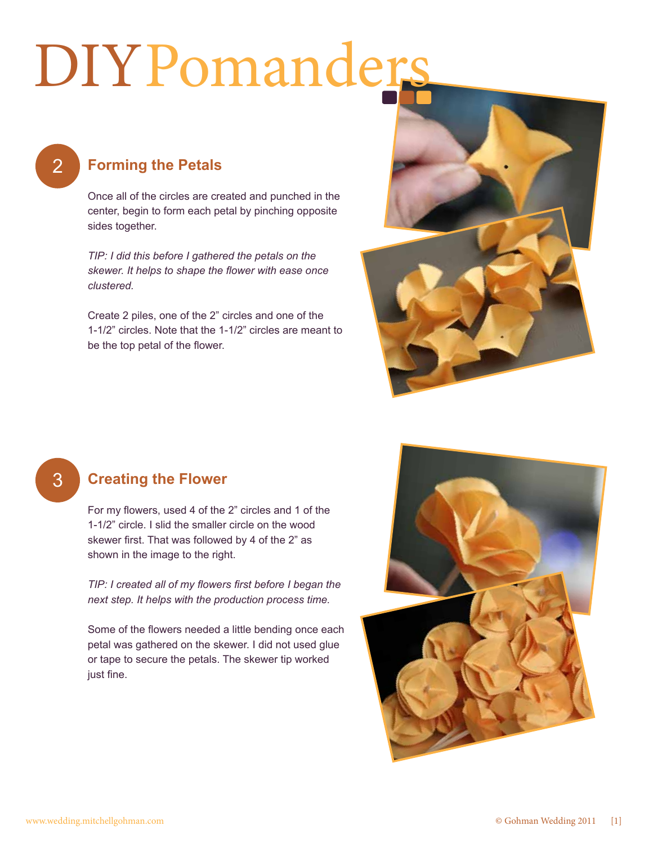## DIYPomanders

2

#### **Forming the Petals**

Once all of the circles are created and punched in the center, begin to form each petal by pinching opposite sides together.

*TIP: I did this before I gathered the petals on the skewer. It helps to shape the flower with ease once clustered.*

Create 2 piles, one of the 2" circles and one of the 1-1/2" circles. Note that the 1-1/2" circles are meant to be the top petal of the flower.



3

#### **Creating the Flower**

For my flowers, used 4 of the 2" circles and 1 of the 1-1/2" circle. I slid the smaller circle on the wood skewer first. That was followed by 4 of the 2" as shown in the image to the right.

*TIP: I created all of my flowers first before I began the next step. It helps with the production process time.*

Some of the flowers needed a little bending once each petal was gathered on the skewer. I did not used glue or tape to secure the petals. The skewer tip worked just fine.